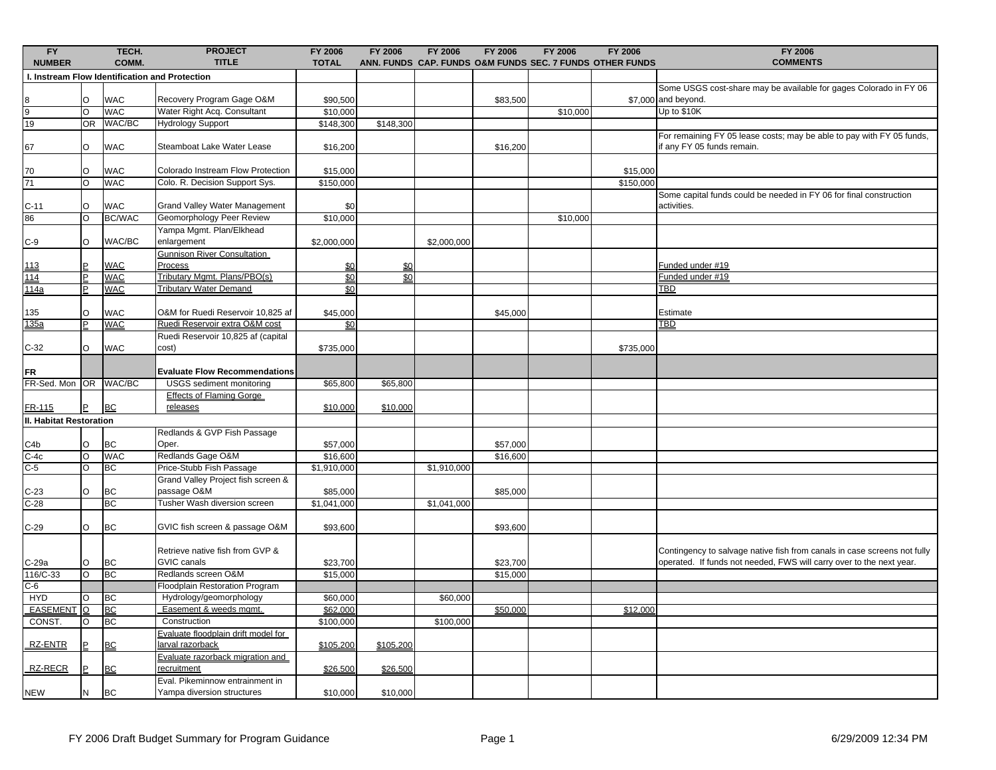| FY<br><b>NUMBER</b>                                               |                | TECH.<br>COMM.           | <b>PROJECT</b><br><b>TITLE</b>                  | FY 2006<br><b>TOTAL</b>       | <b>FY 2006</b>         | <b>FY 2006</b> | <b>FY 2006</b> | <b>FY 2006</b> | FY 2006<br>ANN. FUNDS CAP. FUNDS O&M FUNDS SEC. 7 FUNDS OTHER FUNDS | <b>FY 2006</b><br><b>COMMENTS</b>                                        |
|-------------------------------------------------------------------|----------------|--------------------------|-------------------------------------------------|-------------------------------|------------------------|----------------|----------------|----------------|---------------------------------------------------------------------|--------------------------------------------------------------------------|
|                                                                   |                |                          | I. Instream Flow Identification and Protection  |                               |                        |                |                |                |                                                                     |                                                                          |
|                                                                   |                |                          |                                                 |                               |                        |                |                |                |                                                                     | Some USGS cost-share may be available for gages Colorado in FY 06        |
|                                                                   | $\circ$        | <b>WAC</b>               | Recovery Program Gage O&M                       | \$90,500                      |                        |                | \$83,500       |                |                                                                     | \$7,000 and beyond.                                                      |
| $\begin{array}{c}\n 8 \\ \hline\n 9 \\ \hline\n 19\n \end{array}$ | $\circ$        | <b>WAC</b>               | Water Right Acq. Consultant                     | \$10,000                      |                        |                |                | \$10,000       |                                                                     | Up to \$10K                                                              |
|                                                                   | OR             | WAC/BC                   | <b>Hydrology Support</b>                        | \$148,300                     | \$148,300              |                |                |                |                                                                     |                                                                          |
|                                                                   |                |                          |                                                 |                               |                        |                |                |                |                                                                     | For remaining FY 05 lease costs; may be able to pay with FY 05 funds,    |
| 67                                                                | $\circ$        | <b>WAC</b>               | Steamboat Lake Water Lease                      | \$16,200                      |                        |                | \$16,200       |                |                                                                     | if any FY 05 funds remain.                                               |
|                                                                   |                |                          |                                                 |                               |                        |                |                |                |                                                                     |                                                                          |
| 70                                                                | $\circ$        | <b>WAC</b>               | Colorado Instream Flow Protection               | \$15,000                      |                        |                |                |                | \$15,000                                                            |                                                                          |
| 71                                                                | $\circ$        | <b>WAC</b>               | Colo. R. Decision Support Sys.                  | \$150,000                     |                        |                |                |                | \$150,000                                                           |                                                                          |
|                                                                   |                |                          |                                                 |                               |                        |                |                |                |                                                                     | Some capital funds could be needed in FY 06 for final construction       |
| $C-11$                                                            | $\circ$        | <b>WAC</b>               | Grand Valley Water Management                   | \$0                           |                        |                |                |                |                                                                     | activities.                                                              |
| 86                                                                | O              | <b>BC/WAC</b>            | Geomorphology Peer Review                       | \$10,000                      |                        |                |                | \$10,000       |                                                                     |                                                                          |
|                                                                   |                |                          | Yampa Mgmt. Plan/Elkhead                        |                               |                        |                |                |                |                                                                     |                                                                          |
| $C-9$                                                             | O              | WAC/BC                   | enlargement                                     | \$2,000,000                   |                        | \$2,000,000    |                |                |                                                                     |                                                                          |
|                                                                   |                |                          | Gunnison River Consultation                     |                               |                        |                |                |                |                                                                     |                                                                          |
| 113                                                               | P              | <b>WAC</b><br><b>WAC</b> | Process<br>Tributary Mgmt. Plans/PBO(s)         | <u>\$0</u><br>$\frac{60}{50}$ | \$0<br>$\frac{60}{20}$ |                |                |                |                                                                     | Funded under #19<br>Funded under #19                                     |
| 114<br>114a                                                       | P              | <b>WAC</b>               | <b>Tributary Water Demand</b>                   | \$0                           |                        |                |                |                |                                                                     | <b>TBD</b>                                                               |
|                                                                   |                |                          |                                                 |                               |                        |                |                |                |                                                                     |                                                                          |
| 135                                                               | $\circ$        | <b>WAC</b>               | O&M for Ruedi Reservoir 10,825 af               | \$45,000                      |                        |                | \$45,000       |                |                                                                     | Estimate                                                                 |
| 135a                                                              | P              | <b>WAC</b>               | Ruedi Reservoir extra O&M cost                  | \$0                           |                        |                |                |                |                                                                     | TBD                                                                      |
|                                                                   |                |                          | Ruedi Reservoir 10,825 af (capital              |                               |                        |                |                |                |                                                                     |                                                                          |
| $C-32$                                                            | $\circ$        | <b>WAC</b>               | cost)                                           | \$735,000                     |                        |                |                |                | \$735,000                                                           |                                                                          |
|                                                                   |                |                          |                                                 |                               |                        |                |                |                |                                                                     |                                                                          |
| <b>FR</b>                                                         |                |                          | <b>Evaluate Flow Recommendations</b>            |                               |                        |                |                |                |                                                                     |                                                                          |
| FR-Sed. Mon OR                                                    |                | WAC/BC                   | <b>USGS</b> sediment monitoring                 | \$65,800                      | \$65,800               |                |                |                |                                                                     |                                                                          |
|                                                                   |                |                          | <b>Effects of Flaming Gorge</b>                 |                               |                        |                |                |                |                                                                     |                                                                          |
| FR-115                                                            |                | <b>BC</b>                | releases                                        | \$10,000                      | \$10,000               |                |                |                |                                                                     |                                                                          |
| <b>II. Habitat Restoration</b>                                    |                |                          |                                                 |                               |                        |                |                |                |                                                                     |                                                                          |
|                                                                   |                |                          | Redlands & GVP Fish Passage                     |                               |                        |                |                |                |                                                                     |                                                                          |
| C <sub>4</sub> b                                                  | $\circ$        | BC                       | Oper.                                           | \$57,000                      |                        |                | \$57,000       |                |                                                                     |                                                                          |
| $C-4c$                                                            | O              | WAC                      | Redlands Gage O&M                               | \$16,600                      |                        |                | \$16,600       |                |                                                                     |                                                                          |
| $C-5$                                                             | $\circ$        | <b>BC</b>                | Price-Stubb Fish Passage                        | \$1,910,000                   |                        | \$1,910,000    |                |                |                                                                     |                                                                          |
|                                                                   |                |                          | Grand Valley Project fish screen &              |                               |                        |                |                |                |                                                                     |                                                                          |
| $C-23$                                                            | $\circ$        | <b>BC</b>                | passage O&M                                     | \$85,000                      |                        |                | \$85,000       |                |                                                                     |                                                                          |
| $C-28$                                                            |                | <b>BC</b>                | Tusher Wash diversion screen                    | \$1,041,000                   |                        | \$1,041,000    |                |                |                                                                     |                                                                          |
|                                                                   |                |                          |                                                 |                               |                        |                |                |                |                                                                     |                                                                          |
| $C-29$                                                            | O              | <b>BC</b>                | GVIC fish screen & passage O&M                  | \$93,600                      |                        |                | \$93,600       |                |                                                                     |                                                                          |
|                                                                   |                |                          |                                                 |                               |                        |                |                |                |                                                                     |                                                                          |
|                                                                   |                |                          | Retrieve native fish from GVP &                 |                               |                        |                |                |                |                                                                     | Contingency to salvage native fish from canals in case screens not fully |
| C-29a                                                             | O              | <b>BC</b>                | <b>GVIC</b> canals                              | \$23,700                      |                        |                | \$23,700       |                |                                                                     | operated. If funds not needed, FWS will carry over to the next year.     |
| 116/C-33                                                          | O              | <b>BC</b>                | Redlands screen O&M                             | \$15,000                      |                        |                | \$15,000       |                |                                                                     |                                                                          |
| $C-6$                                                             |                |                          | <b>Floodplain Restoration Program</b>           |                               |                        |                |                |                |                                                                     |                                                                          |
| <b>HYD</b>                                                        | $\circ$        | BC                       | Hydrology/geomorphology                         | \$60,000                      |                        | \$60,000       |                |                |                                                                     |                                                                          |
| <b>EASEMENT</b>                                                   | $\overline{O}$ | <b>BC</b>                | Easement & weeds mgmt.                          | \$62,000                      |                        |                | \$50,000       |                | \$12,000                                                            |                                                                          |
| CONST.                                                            | O              | <b>BC</b>                | Construction                                    | \$100,000                     |                        | \$100,000      |                |                |                                                                     |                                                                          |
| RZ-ENTR                                                           |                |                          | Evaluate floodplain drift model for             |                               |                        |                |                |                |                                                                     |                                                                          |
|                                                                   |                | <b>BC</b>                | arval razorback                                 | \$105,200                     | \$105,200              |                |                |                |                                                                     |                                                                          |
| RZ-RECR                                                           |                | <b>BC</b>                | Evaluate razorback migration and<br>recruitment |                               |                        |                |                |                |                                                                     |                                                                          |
|                                                                   |                |                          | Eval. Pikeminnow entrainment in                 | \$26,500                      | \$26,500               |                |                |                |                                                                     |                                                                          |
| <b>NEW</b>                                                        | N              | <b>BC</b>                | Yampa diversion structures                      | \$10,000                      | \$10,000               |                |                |                |                                                                     |                                                                          |
|                                                                   |                |                          |                                                 |                               |                        |                |                |                |                                                                     |                                                                          |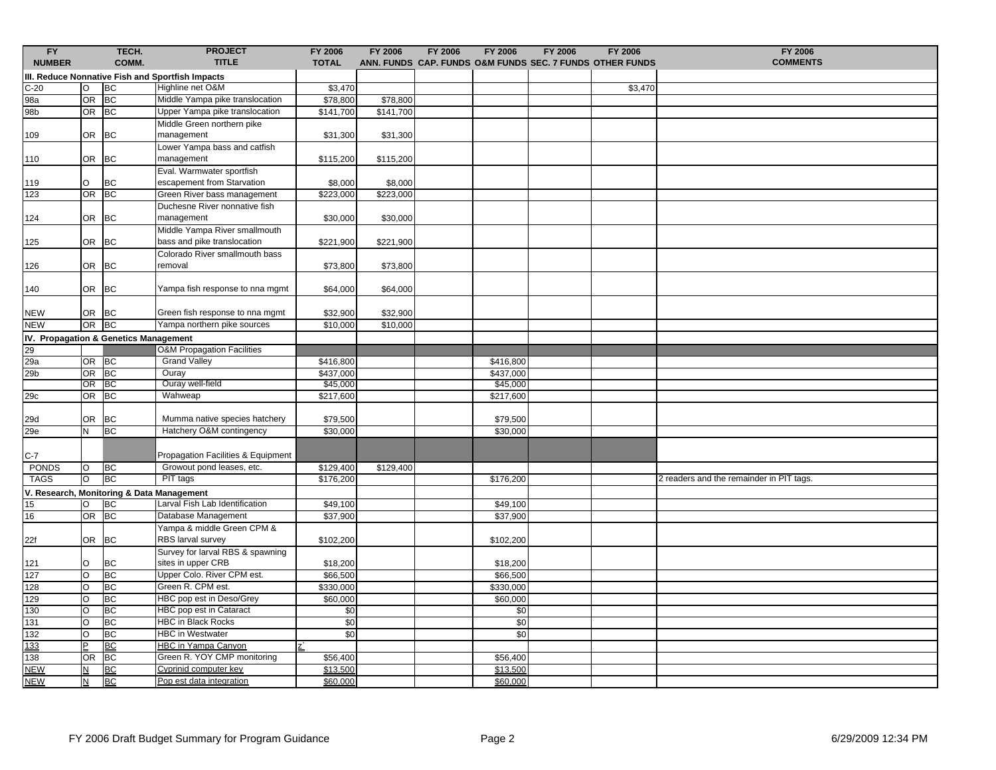| FY<br><b>NUMBER</b>                       |                          | TECH.<br>COMM. | <b>PROJECT</b><br><b>TITLE</b>                   | FY 2006<br><b>TOTAL</b> | FY 2006   | FY 2006 | FY 2006               | FY 2006 | FY 2006<br>ANN. FUNDS CAP. FUNDS O&M FUNDS SEC. 7 FUNDS OTHER FUNDS | FY 2006<br><b>COMMENTS</b>               |
|-------------------------------------------|--------------------------|----------------|--------------------------------------------------|-------------------------|-----------|---------|-----------------------|---------|---------------------------------------------------------------------|------------------------------------------|
|                                           |                          |                | III. Reduce Nonnative Fish and Sportfish Impacts |                         |           |         |                       |         |                                                                     |                                          |
| $C-20$                                    | $\circ$                  | <b>BC</b>      | Highline net O&M                                 | \$3,470                 |           |         |                       |         | \$3,470                                                             |                                          |
| 98a                                       | OR                       | <b>BC</b>      | Middle Yampa pike translocation                  | \$78,800                | \$78,800  |         |                       |         |                                                                     |                                          |
| 98b                                       | <b>OR</b>                | BC             | Upper Yampa pike translocation                   | \$141,700               | \$141,700 |         |                       |         |                                                                     |                                          |
|                                           |                          |                | Middle Green northern pike                       |                         |           |         |                       |         |                                                                     |                                          |
| 109                                       | <b>OR</b>                | <b>BC</b>      | management                                       | \$31,300                | \$31,300  |         |                       |         |                                                                     |                                          |
|                                           |                          |                | Lower Yampa bass and catfish                     |                         |           |         |                       |         |                                                                     |                                          |
| 110                                       | <b>OR</b>                | <b>BC</b>      | management                                       | \$115,200               | \$115,200 |         |                       |         |                                                                     |                                          |
|                                           |                          |                | Eval. Warmwater sportfish                        |                         |           |         |                       |         |                                                                     |                                          |
| 119                                       | $\circ$                  | <b>BC</b>      | escapement from Starvation                       | \$8,000                 | \$8,000   |         |                       |         |                                                                     |                                          |
| 123                                       | OR BC                    |                | Green River bass management                      | \$223,000               | \$223,000 |         |                       |         |                                                                     |                                          |
|                                           |                          |                | Duchesne River nonnative fish                    |                         |           |         |                       |         |                                                                     |                                          |
| 124                                       | <b>OR</b>                | <b>BC</b>      | management                                       | \$30,000                | \$30,000  |         |                       |         |                                                                     |                                          |
|                                           |                          |                | Middle Yampa River smallmouth                    |                         |           |         |                       |         |                                                                     |                                          |
| 125                                       | OR                       | <b>BC</b>      | bass and pike translocation                      | \$221,900               | \$221,900 |         |                       |         |                                                                     |                                          |
|                                           |                          |                | Colorado River smallmouth bass                   |                         |           |         |                       |         |                                                                     |                                          |
| 126                                       | <b>OR</b>                | <b>BC</b>      | removal                                          | \$73,800                | \$73,800  |         |                       |         |                                                                     |                                          |
|                                           |                          |                |                                                  |                         |           |         |                       |         |                                                                     |                                          |
| 140                                       | OR BC                    |                | Yampa fish response to nna mgmt                  | \$64,000                | \$64,000  |         |                       |         |                                                                     |                                          |
|                                           |                          |                |                                                  |                         |           |         |                       |         |                                                                     |                                          |
| <b>NEW</b>                                | OR BC                    |                | Green fish response to nna mgmt                  | \$32,900                | \$32,900  |         |                       |         |                                                                     |                                          |
| <b>NEW</b>                                | OR BC                    |                | Yampa northern pike sources                      | \$10,000                | \$10,000  |         |                       |         |                                                                     |                                          |
| IV. Propagation & Genetics Management     |                          |                |                                                  |                         |           |         |                       |         |                                                                     |                                          |
| 29<br>29a                                 |                          |                | O&M Propagation Facilities                       |                         |           |         |                       |         |                                                                     |                                          |
|                                           | OR BC                    |                | <b>Grand Valley</b>                              | \$416,800               |           |         | \$416,800             |         |                                                                     |                                          |
| 29 <sub>b</sub>                           | OR                       | B              | Ouray                                            | \$437,000               |           |         | \$437,000             |         |                                                                     |                                          |
|                                           | OR BC                    |                | Ouray well-field                                 | \$45,000                |           |         | \$45,000              |         |                                                                     |                                          |
| 29c                                       | OR                       | BC             | Wahweap                                          | \$217,600               |           |         | \$217,600             |         |                                                                     |                                          |
|                                           |                          |                |                                                  |                         |           |         |                       |         |                                                                     |                                          |
| 29d                                       | <b>OR</b>                | <b>BC</b>      | Mumma native species hatchery                    | \$79,500                |           |         | \$79,500              |         |                                                                     |                                          |
| 29e                                       | N                        | <b>BC</b>      | Hatchery O&M contingency                         | \$30,000                |           |         | \$30,000              |         |                                                                     |                                          |
|                                           |                          |                |                                                  |                         |           |         |                       |         |                                                                     |                                          |
| $C-7$                                     |                          |                | Propagation Facilities & Equipment               |                         |           |         |                       |         |                                                                     |                                          |
| PONDS                                     | lO.<br>lo                | BC<br>BC       | Growout pond leases, etc.<br>PIT tags            | \$129,400               | \$129,400 |         |                       |         |                                                                     |                                          |
| <b>TAGS</b>                               |                          |                |                                                  | \$176,200               |           |         | \$176,200             |         |                                                                     | 2 readers and the remainder in PIT tags. |
| V. Research, Monitoring & Data Management |                          |                |                                                  |                         |           |         |                       |         |                                                                     |                                          |
| 15                                        | $\circ$                  | <b>BC</b>      | Larval Fish Lab Identification                   | \$49,100                |           |         | \$49,100              |         |                                                                     |                                          |
| 16                                        | <b>OR</b>                | <b>BC</b>      | Database Management                              | \$37,900                |           |         | \$37,900              |         |                                                                     |                                          |
|                                           |                          |                | Yampa & middle Green CPM &                       |                         |           |         |                       |         |                                                                     |                                          |
| 22f                                       | OR                       | <b>BC</b>      | <b>RBS</b> larval survey                         | \$102,200               |           |         | \$102,200             |         |                                                                     |                                          |
|                                           |                          |                | Survey for larval RBS & spawning                 |                         |           |         |                       |         |                                                                     |                                          |
| 121<br>127                                | O<br>lo                  | BC<br>BC       | sites in upper CRB<br>Upper Colo. River CPM est. | \$18,200<br>\$66,500    |           |         | \$18,200<br>\$66,500  |         |                                                                     |                                          |
|                                           |                          | <b>BC</b>      | Green R. CPM est.                                |                         |           |         |                       |         |                                                                     |                                          |
| 128<br>129                                | lo<br>lo                 | <b>BC</b>      | HBC pop est in Deso/Grey                         | \$330,000<br>\$60,000   |           |         | \$330,000<br>\$60,000 |         |                                                                     |                                          |
| 130                                       | lo                       | <b>BC</b>      | HBC pop est in Cataract                          | \$0                     |           |         | \$0                   |         |                                                                     |                                          |
| 131                                       | lo.                      | <b>BC</b>      | <b>HBC in Black Rocks</b>                        | \$0                     |           |         | \$0                   |         |                                                                     |                                          |
| 132                                       | O                        | <b>BC</b>      | <b>HBC</b> in Westwater                          | $\sqrt{6}$              |           |         | \$0                   |         |                                                                     |                                          |
| 133                                       | lP.                      | <b>BC</b>      | <b>HBC in Yampa Canyon</b>                       |                         |           |         |                       |         |                                                                     |                                          |
| 138                                       | <b>OR</b>                | <b>BC</b>      | Green R. YOY CMP monitoring                      | \$56,400                |           |         | \$56,400              |         |                                                                     |                                          |
| <b>NEW</b>                                | $\underline{\mathsf{N}}$ | <b>BC</b>      | Cyprinid computer key                            | \$13,500                |           |         | \$13,500              |         |                                                                     |                                          |
| <b>NEW</b>                                | $\underline{\mathsf{N}}$ | <b>BC</b>      | Pop est data integration                         | \$60,000                |           |         | \$60,000              |         |                                                                     |                                          |
|                                           |                          |                |                                                  |                         |           |         |                       |         |                                                                     |                                          |